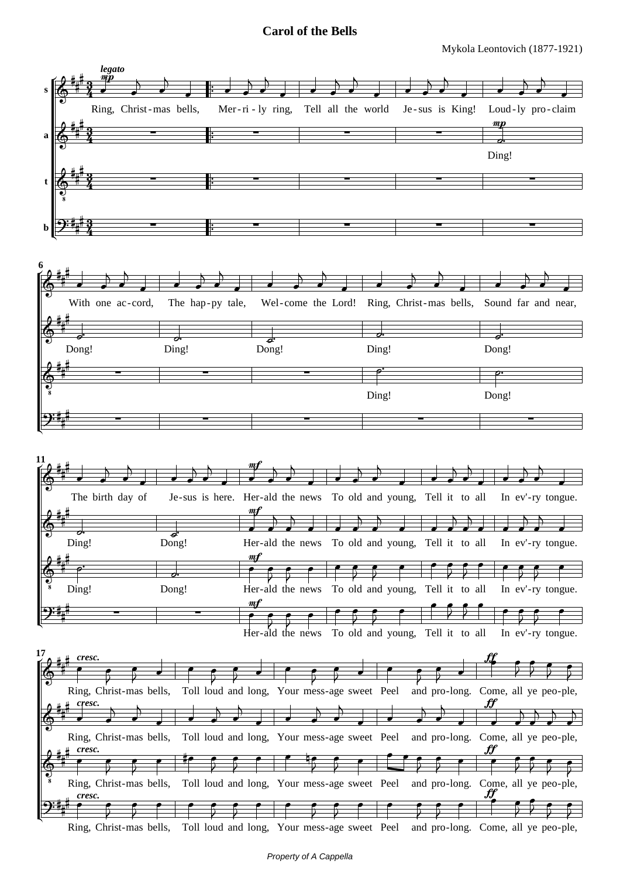## **Carol of the Bells**